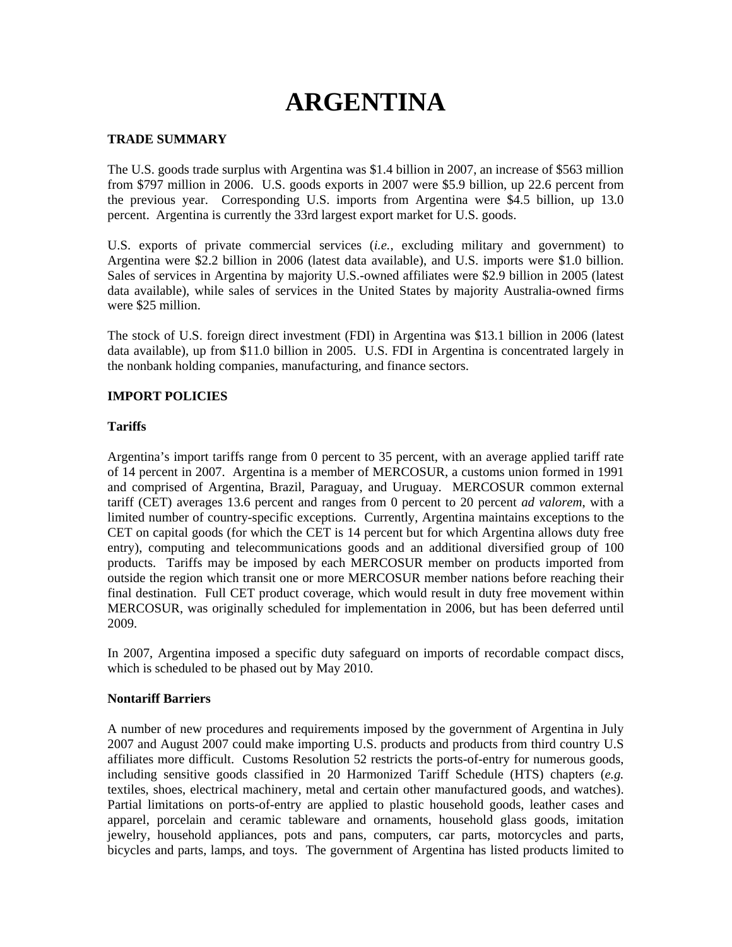# **ARGENTINA**

#### **TRADE SUMMARY**

The U.S. goods trade surplus with Argentina was \$1.4 billion in 2007, an increase of \$563 million from \$797 million in 2006. U.S. goods exports in 2007 were \$5.9 billion, up 22.6 percent from the previous year. Corresponding U.S. imports from Argentina were \$4.5 billion, up 13.0 percent. Argentina is currently the 33rd largest export market for U.S. goods.

U.S. exports of private commercial services (*i.e.*, excluding military and government) to Argentina were \$2.2 billion in 2006 (latest data available), and U.S. imports were \$1.0 billion. Sales of services in Argentina by majority U.S.-owned affiliates were \$2.9 billion in 2005 (latest data available), while sales of services in the United States by majority Australia-owned firms were \$25 million.

The stock of U.S. foreign direct investment (FDI) in Argentina was \$13.1 billion in 2006 (latest data available), up from \$11.0 billion in 2005. U.S. FDI in Argentina is concentrated largely in the nonbank holding companies, manufacturing, and finance sectors.

#### **IMPORT POLICIES**

#### **Tariffs**

Argentina's import tariffs range from 0 percent to 35 percent, with an average applied tariff rate of 14 percent in 2007. Argentina is a member of MERCOSUR, a customs union formed in 1991 and comprised of Argentina, Brazil, Paraguay, and Uruguay. MERCOSUR common external tariff (CET) averages 13.6 percent and ranges from 0 percent to 20 percent *ad valorem*, with a limited number of country-specific exceptions*.* Currently, Argentina maintains exceptions to the CET on capital goods (for which the CET is 14 percent but for which Argentina allows duty free entry), computing and telecommunications goods and an additional diversified group of 100 products. Tariffs may be imposed by each MERCOSUR member on products imported from outside the region which transit one or more MERCOSUR member nations before reaching their final destination. Full CET product coverage, which would result in duty free movement within MERCOSUR, was originally scheduled for implementation in 2006, but has been deferred until 2009.

In 2007, Argentina imposed a specific duty safeguard on imports of recordable compact discs, which is scheduled to be phased out by May 2010.

#### **Nontariff Barriers**

A number of new procedures and requirements imposed by the government of Argentina in July 2007 and August 2007 could make importing U.S. products and products from third country U.S affiliates more difficult. Customs Resolution 52 restricts the ports-of-entry for numerous goods, including sensitive goods classified in 20 Harmonized Tariff Schedule (HTS) chapters (*e.g.* textiles, shoes, electrical machinery, metal and certain other manufactured goods, and watches). Partial limitations on ports-of-entry are applied to plastic household goods, leather cases and apparel, porcelain and ceramic tableware and ornaments, household glass goods, imitation jewelry, household appliances, pots and pans, computers, car parts, motorcycles and parts, bicycles and parts, lamps, and toys. The government of Argentina has listed products limited to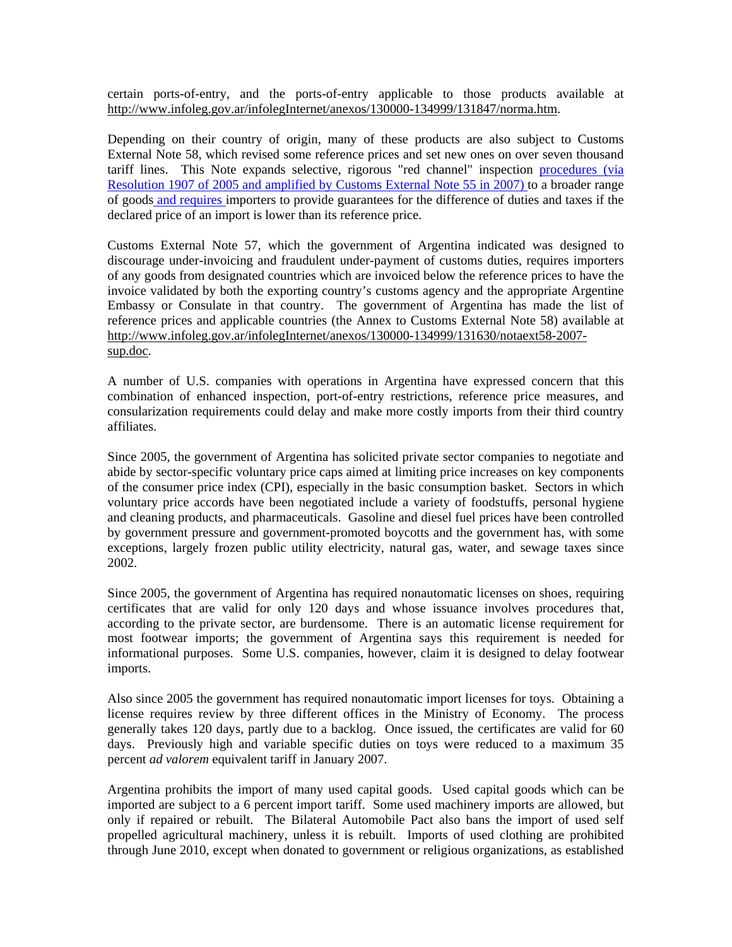certain ports-of-entry, and the ports-of-entry applicable to those products available at http://www.infoleg.gov.ar/infolegInternet/anexos/130000-134999/131847/norma.htm.

Depending on their country of origin, many of these products are also subject to Customs External Note 58, which revised some reference prices and set new ones on over seven thousand tariff lines. This Note expands selective, rigorous "red channel" inspection procedures (via Resolution 1907 of 2005 and amplified by Customs External Note 55 in 2007) to a broader range of goods and requires importers to provide guarantees for the difference of duties and taxes if the declared price of an import is lower than its reference price.

Customs External Note 57, which the government of Argentina indicated was designed to discourage under-invoicing and fraudulent under-payment of customs duties, requires importers of any goods from designated countries which are invoiced below the reference prices to have the invoice validated by both the exporting country's customs agency and the appropriate Argentine Embassy or Consulate in that country. The government of Argentina has made the list of reference prices and applicable countries (the Annex to Customs External Note 58) available at http://www.infoleg.gov.ar/infolegInternet/anexos/130000-134999/131630/notaext58-2007 sup.doc.

A number of U.S. companies with operations in Argentina have expressed concern that this combination of enhanced inspection, port-of-entry restrictions, reference price measures, and consularization requirements could delay and make more costly imports from their third country affiliates.

Since 2005, the government of Argentina has solicited private sector companies to negotiate and abide by sector-specific voluntary price caps aimed at limiting price increases on key components of the consumer price index (CPI), especially in the basic consumption basket. Sectors in which voluntary price accords have been negotiated include a variety of foodstuffs, personal hygiene and cleaning products, and pharmaceuticals. Gasoline and diesel fuel prices have been controlled by government pressure and government-promoted boycotts and the government has, with some exceptions, largely frozen public utility electricity, natural gas, water, and sewage taxes since 2002.

Since 2005, the government of Argentina has required nonautomatic licenses on shoes, requiring certificates that are valid for only 120 days and whose issuance involves procedures that, according to the private sector, are burdensome. There is an automatic license requirement for most footwear imports; the government of Argentina says this requirement is needed for informational purposes. Some U.S. companies, however, claim it is designed to delay footwear imports.

Also since 2005 the government has required nonautomatic import licenses for toys. Obtaining a license requires review by three different offices in the Ministry of Economy. The process generally takes 120 days, partly due to a backlog. Once issued, the certificates are valid for 60 days. Previously high and variable specific duties on toys were reduced to a maximum 35 percent *ad valorem* equivalent tariff in January 2007.

Argentina prohibits the import of many used capital goods. Used capital goods which can be imported are subject to a 6 percent import tariff. Some used machinery imports are allowed, but only if repaired or rebuilt. The Bilateral Automobile Pact also bans the import of used self propelled agricultural machinery, unless it is rebuilt. Imports of used clothing are prohibited through June 2010, except when donated to government or religious organizations, as established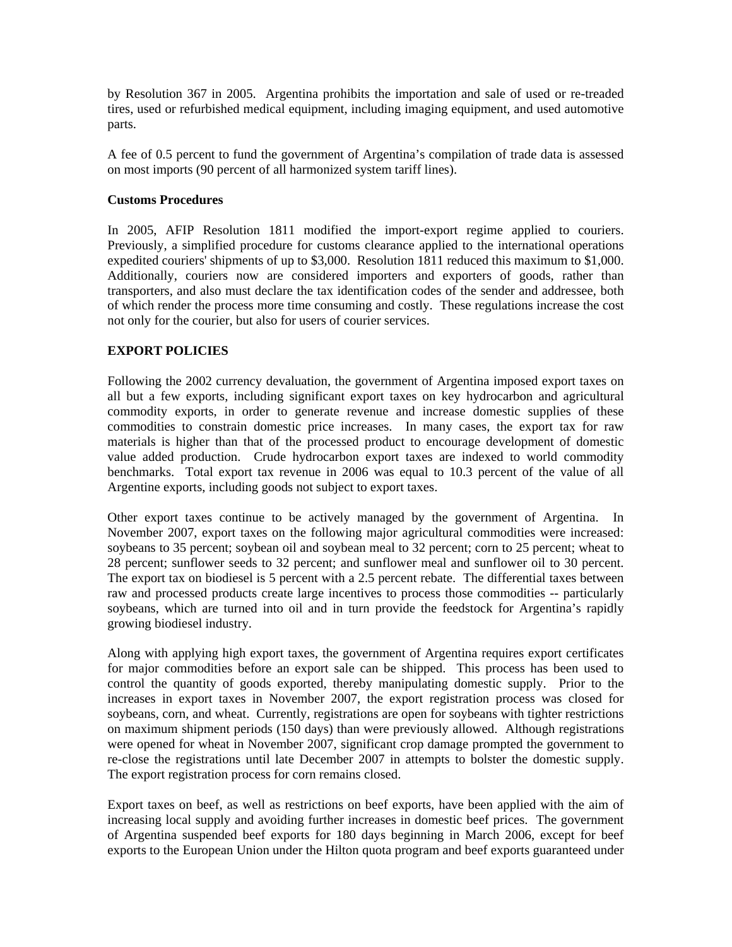by Resolution 367 in 2005. Argentina prohibits the importation and sale of used or re-treaded tires, used or refurbished medical equipment, including imaging equipment, and used automotive parts.

A fee of 0.5 percent to fund the government of Argentina's compilation of trade data is assessed on most imports (90 percent of all harmonized system tariff lines).

#### **Customs Procedures**

In 2005, AFIP Resolution 1811 modified the import-export regime applied to couriers. Previously, a simplified procedure for customs clearance applied to the international operations expedited couriers' shipments of up to \$3,000. Resolution 1811 reduced this maximum to \$1,000. Additionally, couriers now are considered importers and exporters of goods, rather than transporters, and also must declare the tax identification codes of the sender and addressee, both of which render the process more time consuming and costly. These regulations increase the cost not only for the courier, but also for users of courier services.

#### **EXPORT POLICIES**

Following the 2002 currency devaluation, the government of Argentina imposed export taxes on all but a few exports, including significant export taxes on key hydrocarbon and agricultural commodity exports, in order to generate revenue and increase domestic supplies of these commodities to constrain domestic price increases. In many cases, the export tax for raw materials is higher than that of the processed product to encourage development of domestic value added production. Crude hydrocarbon export taxes are indexed to world commodity benchmarks. Total export tax revenue in 2006 was equal to 10.3 percent of the value of all Argentine exports, including goods not subject to export taxes.

Other export taxes continue to be actively managed by the government of Argentina. In November 2007, export taxes on the following major agricultural commodities were increased: soybeans to 35 percent; soybean oil and soybean meal to 32 percent; corn to 25 percent; wheat to 28 percent; sunflower seeds to 32 percent; and sunflower meal and sunflower oil to 30 percent. The export tax on biodiesel is 5 percent with a 2.5 percent rebate. The differential taxes between raw and processed products create large incentives to process those commodities -- particularly soybeans, which are turned into oil and in turn provide the feedstock for Argentina's rapidly growing biodiesel industry.

Along with applying high export taxes, the government of Argentina requires export certificates for major commodities before an export sale can be shipped. This process has been used to control the quantity of goods exported, thereby manipulating domestic supply. Prior to the increases in export taxes in November 2007, the export registration process was closed for soybeans, corn, and wheat. Currently, registrations are open for soybeans with tighter restrictions on maximum shipment periods (150 days) than were previously allowed. Although registrations were opened for wheat in November 2007, significant crop damage prompted the government to re-close the registrations until late December 2007 in attempts to bolster the domestic supply. The export registration process for corn remains closed.

Export taxes on beef, as well as restrictions on beef exports, have been applied with the aim of increasing local supply and avoiding further increases in domestic beef prices. The government of Argentina suspended beef exports for 180 days beginning in March 2006, except for beef exports to the European Union under the Hilton quota program and beef exports guaranteed under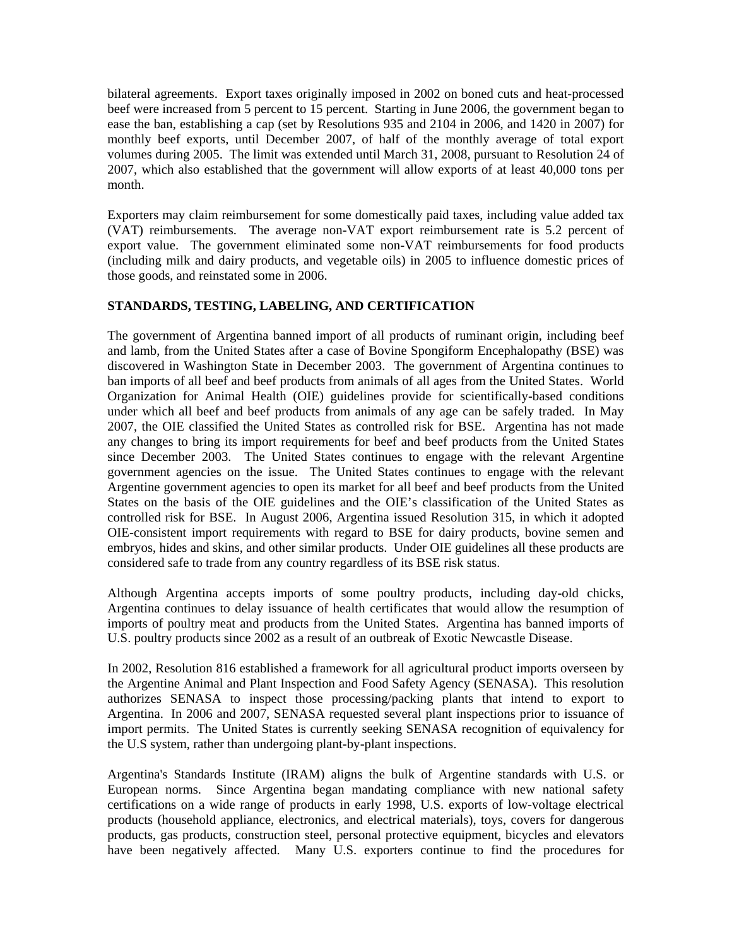bilateral agreements. Export taxes originally imposed in 2002 on boned cuts and heat-processed beef were increased from 5 percent to 15 percent. Starting in June 2006, the government began to ease the ban, establishing a cap (set by Resolutions 935 and 2104 in 2006, and 1420 in 2007) for monthly beef exports, until December 2007, of half of the monthly average of total export volumes during 2005. The limit was extended until March 31, 2008, pursuant to Resolution 24 of 2007, which also established that the government will allow exports of at least 40,000 tons per month.

Exporters may claim reimbursement for some domestically paid taxes, including value added tax (VAT) reimbursements. The average non-VAT export reimbursement rate is 5.2 percent of export value. The government eliminated some non-VAT reimbursements for food products (including milk and dairy products, and vegetable oils) in 2005 to influence domestic prices of those goods, and reinstated some in 2006.

# **STANDARDS, TESTING, LABELING, AND CERTIFICATION**

The government of Argentina banned import of all products of ruminant origin, including beef and lamb, from the United States after a case of Bovine Spongiform Encephalopathy (BSE) was discovered in Washington State in December 2003. The government of Argentina continues to ban imports of all beef and beef products from animals of all ages from the United States. World Organization for Animal Health (OIE) guidelines provide for scientifically-based conditions under which all beef and beef products from animals of any age can be safely traded. In May 2007, the OIE classified the United States as controlled risk for BSE. Argentina has not made any changes to bring its import requirements for beef and beef products from the United States since December 2003. The United States continues to engage with the relevant Argentine government agencies on the issue. The United States continues to engage with the relevant Argentine government agencies to open its market for all beef and beef products from the United States on the basis of the OIE guidelines and the OIE's classification of the United States as controlled risk for BSE. In August 2006, Argentina issued Resolution 315, in which it adopted OIE-consistent import requirements with regard to BSE for dairy products, bovine semen and embryos, hides and skins, and other similar products. Under OIE guidelines all these products are considered safe to trade from any country regardless of its BSE risk status.

Although Argentina accepts imports of some poultry products, including day-old chicks, Argentina continues to delay issuance of health certificates that would allow the resumption of imports of poultry meat and products from the United States. Argentina has banned imports of U.S. poultry products since 2002 as a result of an outbreak of Exotic Newcastle Disease.

In 2002, Resolution 816 established a framework for all agricultural product imports overseen by the Argentine Animal and Plant Inspection and Food Safety Agency (SENASA). This resolution authorizes SENASA to inspect those processing/packing plants that intend to export to Argentina. In 2006 and 2007, SENASA requested several plant inspections prior to issuance of import permits. The United States is currently seeking SENASA recognition of equivalency for the U.S system, rather than undergoing plant-by-plant inspections.

Argentina's Standards Institute (IRAM) aligns the bulk of Argentine standards with U.S. or European norms. Since Argentina began mandating compliance with new national safety certifications on a wide range of products in early 1998, U.S. exports of low-voltage electrical products (household appliance, electronics, and electrical materials), toys, covers for dangerous products, gas products, construction steel, personal protective equipment, bicycles and elevators have been negatively affected. Many U.S. exporters continue to find the procedures for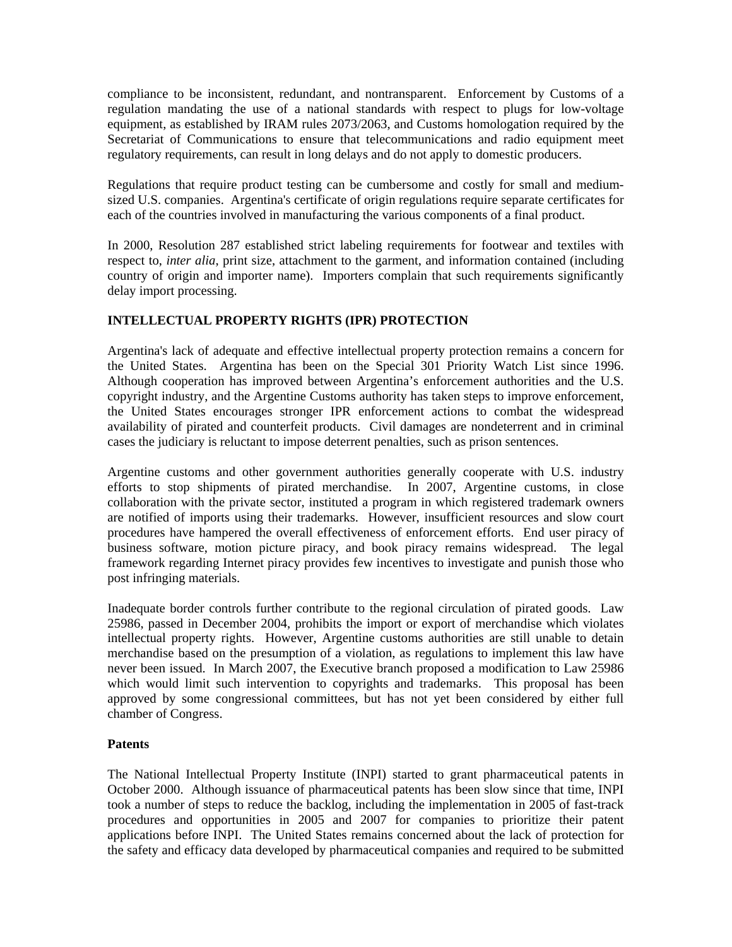compliance to be inconsistent, redundant, and nontransparent. Enforcement by Customs of a regulation mandating the use of a national standards with respect to plugs for low-voltage equipment, as established by IRAM rules 2073/2063, and Customs homologation required by the Secretariat of Communications to ensure that telecommunications and radio equipment meet regulatory requirements, can result in long delays and do not apply to domestic producers.

Regulations that require product testing can be cumbersome and costly for small and mediumsized U.S. companies. Argentina's certificate of origin regulations require separate certificates for each of the countries involved in manufacturing the various components of a final product.

In 2000, Resolution 287 established strict labeling requirements for footwear and textiles with respect to, *inter alia*, print size, attachment to the garment, and information contained (including country of origin and importer name). Importers complain that such requirements significantly delay import processing.

## **INTELLECTUAL PROPERTY RIGHTS (IPR) PROTECTION**

Argentina's lack of adequate and effective intellectual property protection remains a concern for the United States. Argentina has been on the Special 301 Priority Watch List since 1996. Although cooperation has improved between Argentina's enforcement authorities and the U.S. copyright industry, and the Argentine Customs authority has taken steps to improve enforcement, the United States encourages stronger IPR enforcement actions to combat the widespread availability of pirated and counterfeit products. Civil damages are nondeterrent and in criminal cases the judiciary is reluctant to impose deterrent penalties, such as prison sentences.

Argentine customs and other government authorities generally cooperate with U.S. industry efforts to stop shipments of pirated merchandise. In 2007, Argentine customs, in close collaboration with the private sector, instituted a program in which registered trademark owners are notified of imports using their trademarks. However, insufficient resources and slow court procedures have hampered the overall effectiveness of enforcement efforts. End user piracy of business software, motion picture piracy, and book piracy remains widespread. The legal framework regarding Internet piracy provides few incentives to investigate and punish those who post infringing materials.

Inadequate border controls further contribute to the regional circulation of pirated goods. Law 25986, passed in December 2004, prohibits the import or export of merchandise which violates intellectual property rights. However, Argentine customs authorities are still unable to detain merchandise based on the presumption of a violation, as regulations to implement this law have never been issued. In March 2007, the Executive branch proposed a modification to Law 25986 which would limit such intervention to copyrights and trademarks. This proposal has been approved by some congressional committees, but has not yet been considered by either full chamber of Congress.

#### **Patents**

The National Intellectual Property Institute (INPI) started to grant pharmaceutical patents in October 2000. Although issuance of pharmaceutical patents has been slow since that time, INPI took a number of steps to reduce the backlog, including the implementation in 2005 of fast-track procedures and opportunities in 2005 and 2007 for companies to prioritize their patent applications before INPI. The United States remains concerned about the lack of protection for the safety and efficacy data developed by pharmaceutical companies and required to be submitted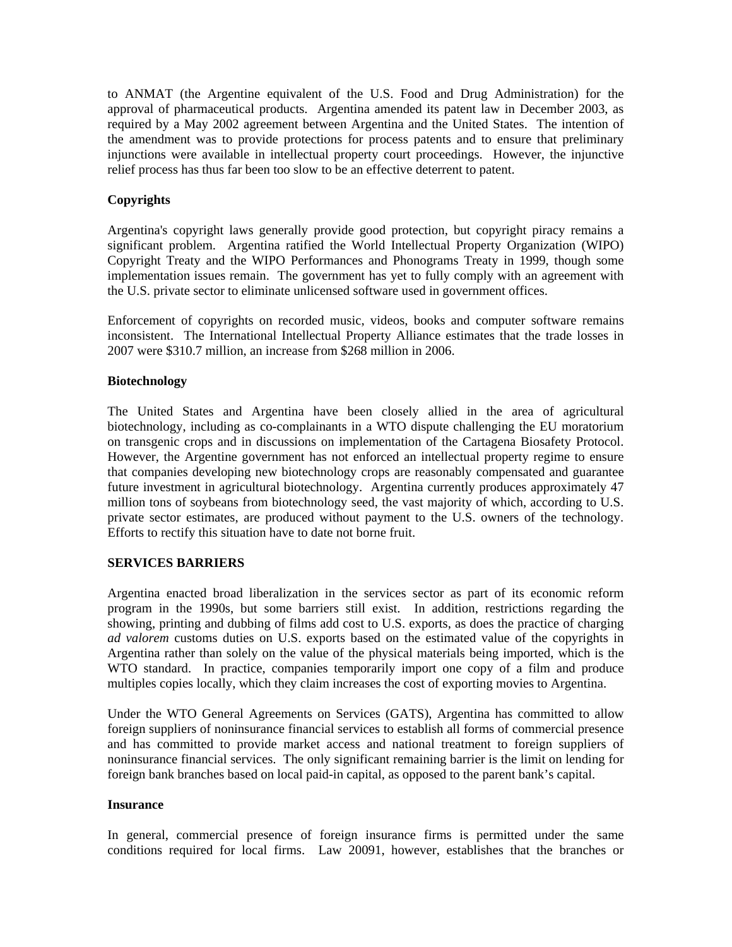to ANMAT (the Argentine equivalent of the U.S. Food and Drug Administration) for the approval of pharmaceutical products. Argentina amended its patent law in December 2003, as required by a May 2002 agreement between Argentina and the United States. The intention of the amendment was to provide protections for process patents and to ensure that preliminary injunctions were available in intellectual property court proceedings. However, the injunctive relief process has thus far been too slow to be an effective deterrent to patent.

## **Copyrights**

Argentina's copyright laws generally provide good protection, but copyright piracy remains a significant problem. Argentina ratified the World Intellectual Property Organization (WIPO) Copyright Treaty and the WIPO Performances and Phonograms Treaty in 1999, though some implementation issues remain. The government has yet to fully comply with an agreement with the U.S. private sector to eliminate unlicensed software used in government offices.

Enforcement of copyrights on recorded music, videos, books and computer software remains inconsistent. The International Intellectual Property Alliance estimates that the trade losses in 2007 were \$310.7 million, an increase from \$268 million in 2006.

#### **Biotechnology**

The United States and Argentina have been closely allied in the area of agricultural biotechnology, including as co-complainants in a WTO dispute challenging the EU moratorium on transgenic crops and in discussions on implementation of the Cartagena Biosafety Protocol. However, the Argentine government has not enforced an intellectual property regime to ensure that companies developing new biotechnology crops are reasonably compensated and guarantee future investment in agricultural biotechnology. Argentina currently produces approximately 47 million tons of soybeans from biotechnology seed, the vast majority of which, according to U.S. private sector estimates, are produced without payment to the U.S. owners of the technology. Efforts to rectify this situation have to date not borne fruit.

#### **SERVICES BARRIERS**

Argentina enacted broad liberalization in the services sector as part of its economic reform program in the 1990s, but some barriers still exist. In addition, restrictions regarding the showing, printing and dubbing of films add cost to U.S. exports, as does the practice of charging *ad valorem* customs duties on U.S. exports based on the estimated value of the copyrights in Argentina rather than solely on the value of the physical materials being imported, which is the WTO standard. In practice, companies temporarily import one copy of a film and produce multiples copies locally, which they claim increases the cost of exporting movies to Argentina.

Under the WTO General Agreements on Services (GATS), Argentina has committed to allow foreign suppliers of noninsurance financial services to establish all forms of commercial presence and has committed to provide market access and national treatment to foreign suppliers of noninsurance financial services. The only significant remaining barrier is the limit on lending for foreign bank branches based on local paid-in capital, as opposed to the parent bank's capital.

#### **Insurance**

In general, commercial presence of foreign insurance firms is permitted under the same conditions required for local firms. Law 20091, however, establishes that the branches or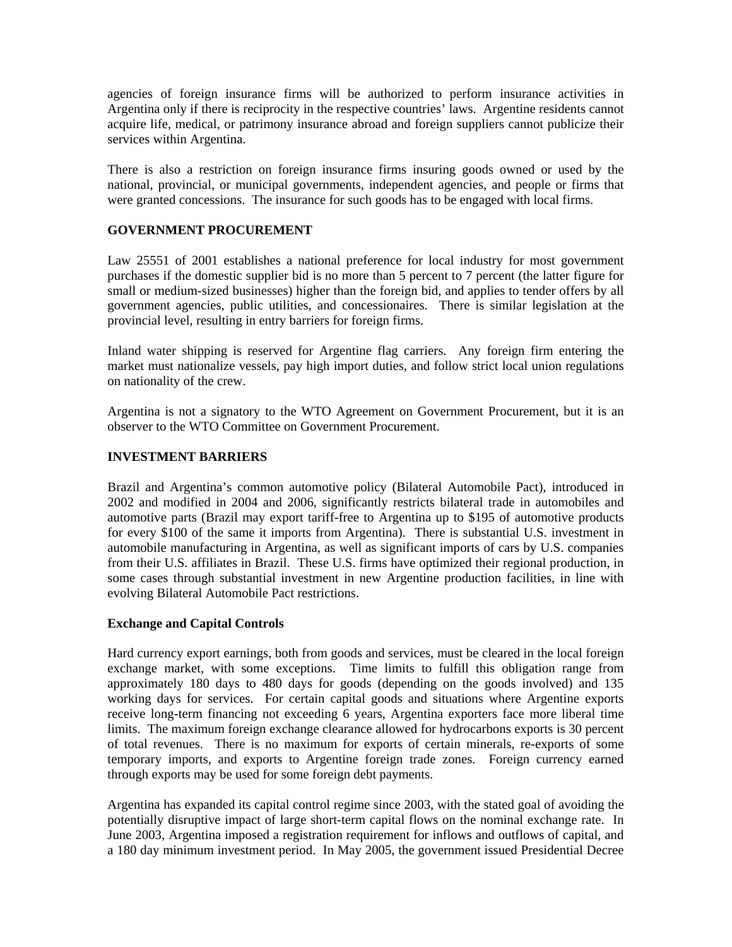agencies of foreign insurance firms will be authorized to perform insurance activities in Argentina only if there is reciprocity in the respective countries' laws. Argentine residents cannot acquire life, medical, or patrimony insurance abroad and foreign suppliers cannot publicize their services within Argentina.

There is also a restriction on foreign insurance firms insuring goods owned or used by the national, provincial, or municipal governments, independent agencies, and people or firms that were granted concessions. The insurance for such goods has to be engaged with local firms.

## **GOVERNMENT PROCUREMENT**

Law 25551 of 2001 establishes a national preference for local industry for most government purchases if the domestic supplier bid is no more than 5 percent to 7 percent (the latter figure for small or medium-sized businesses) higher than the foreign bid, and applies to tender offers by all government agencies, public utilities, and concessionaires. There is similar legislation at the provincial level, resulting in entry barriers for foreign firms.

Inland water shipping is reserved for Argentine flag carriers. Any foreign firm entering the market must nationalize vessels, pay high import duties, and follow strict local union regulations on nationality of the crew.

Argentina is not a signatory to the WTO Agreement on Government Procurement, but it is an observer to the WTO Committee on Government Procurement.

#### **INVESTMENT BARRIERS**

Brazil and Argentina's common automotive policy (Bilateral Automobile Pact), introduced in 2002 and modified in 2004 and 2006, significantly restricts bilateral trade in automobiles and automotive parts (Brazil may export tariff-free to Argentina up to \$195 of automotive products for every \$100 of the same it imports from Argentina). There is substantial U.S. investment in automobile manufacturing in Argentina, as well as significant imports of cars by U.S. companies from their U.S. affiliates in Brazil. These U.S. firms have optimized their regional production, in some cases through substantial investment in new Argentine production facilities, in line with evolving Bilateral Automobile Pact restrictions.

#### **Exchange and Capital Controls**

Hard currency export earnings, both from goods and services, must be cleared in the local foreign exchange market, with some exceptions. Time limits to fulfill this obligation range from approximately 180 days to 480 days for goods (depending on the goods involved) and 135 working days for services. For certain capital goods and situations where Argentine exports receive long-term financing not exceeding 6 years, Argentina exporters face more liberal time limits. The maximum foreign exchange clearance allowed for hydrocarbons exports is 30 percent of total revenues. There is no maximum for exports of certain minerals, re-exports of some temporary imports, and exports to Argentine foreign trade zones. Foreign currency earned through exports may be used for some foreign debt payments.

Argentina has expanded its capital control regime since 2003, with the stated goal of avoiding the potentially disruptive impact of large short-term capital flows on the nominal exchange rate. In June 2003, Argentina imposed a registration requirement for inflows and outflows of capital, and a 180 day minimum investment period. In May 2005, the government issued Presidential Decree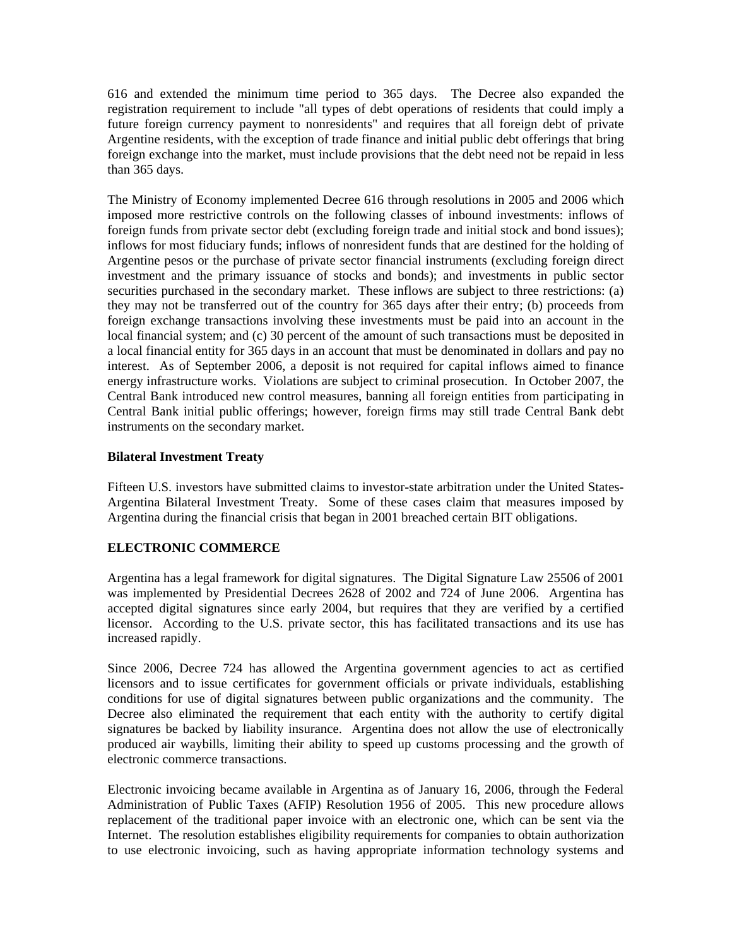616 and extended the minimum time period to 365 days. The Decree also expanded the registration requirement to include "all types of debt operations of residents that could imply a future foreign currency payment to nonresidents" and requires that all foreign debt of private Argentine residents, with the exception of trade finance and initial public debt offerings that bring foreign exchange into the market, must include provisions that the debt need not be repaid in less than 365 days.

The Ministry of Economy implemented Decree 616 through resolutions in 2005 and 2006 which imposed more restrictive controls on the following classes of inbound investments: inflows of foreign funds from private sector debt (excluding foreign trade and initial stock and bond issues); inflows for most fiduciary funds; inflows of nonresident funds that are destined for the holding of Argentine pesos or the purchase of private sector financial instruments (excluding foreign direct investment and the primary issuance of stocks and bonds); and investments in public sector securities purchased in the secondary market. These inflows are subject to three restrictions: (a) they may not be transferred out of the country for 365 days after their entry; (b) proceeds from foreign exchange transactions involving these investments must be paid into an account in the local financial system; and (c) 30 percent of the amount of such transactions must be deposited in a local financial entity for 365 days in an account that must be denominated in dollars and pay no interest. As of September 2006, a deposit is not required for capital inflows aimed to finance energy infrastructure works. Violations are subject to criminal prosecution. In October 2007, the Central Bank introduced new control measures, banning all foreign entities from participating in Central Bank initial public offerings; however, foreign firms may still trade Central Bank debt instruments on the secondary market.

## **Bilateral Investment Treaty**

Fifteen U.S. investors have submitted claims to investor-state arbitration under the United States-Argentina Bilateral Investment Treaty. Some of these cases claim that measures imposed by Argentina during the financial crisis that began in 2001 breached certain BIT obligations.

# **ELECTRONIC COMMERCE**

Argentina has a legal framework for digital signatures. The Digital Signature Law 25506 of 2001 was implemented by Presidential Decrees 2628 of 2002 and 724 of June 2006. Argentina has accepted digital signatures since early 2004, but requires that they are verified by a certified licensor. According to the U.S. private sector, this has facilitated transactions and its use has increased rapidly.

Since 2006, Decree 724 has allowed the Argentina government agencies to act as certified licensors and to issue certificates for government officials or private individuals, establishing conditions for use of digital signatures between public organizations and the community. The Decree also eliminated the requirement that each entity with the authority to certify digital signatures be backed by liability insurance. Argentina does not allow the use of electronically produced air waybills, limiting their ability to speed up customs processing and the growth of electronic commerce transactions.

Electronic invoicing became available in Argentina as of January 16, 2006, through the Federal Administration of Public Taxes (AFIP) Resolution 1956 of 2005. This new procedure allows replacement of the traditional paper invoice with an electronic one, which can be sent via the Internet. The resolution establishes eligibility requirements for companies to obtain authorization to use electronic invoicing, such as having appropriate information technology systems and